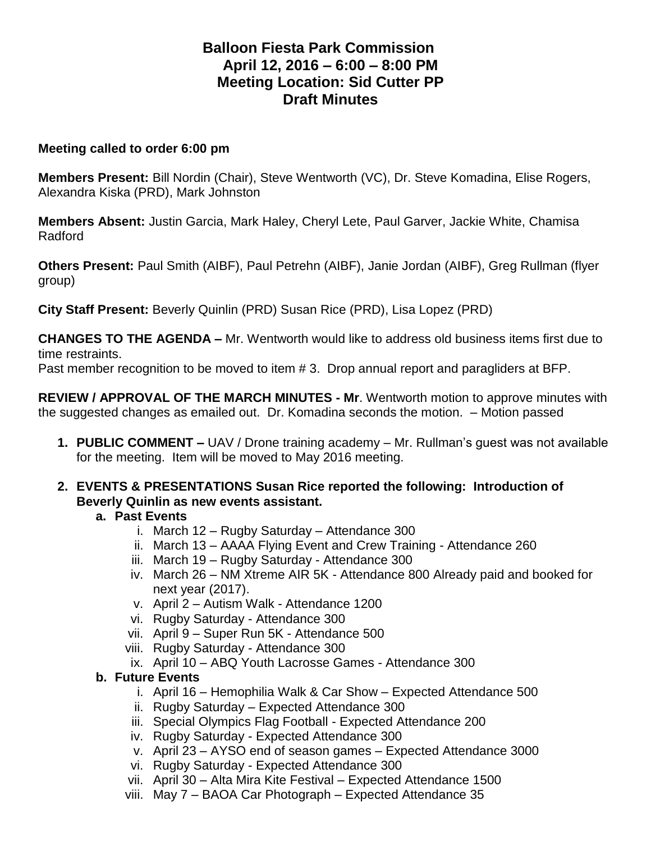# **Balloon Fiesta Park Commission April 12, 2016 – 6:00 – 8:00 PM Meeting Location: Sid Cutter PP Draft Minutes**

#### **Meeting called to order 6:00 pm**

**Members Present:** Bill Nordin (Chair), Steve Wentworth (VC), Dr. Steve Komadina, Elise Rogers, Alexandra Kiska (PRD), Mark Johnston

**Members Absent:** Justin Garcia, Mark Haley, Cheryl Lete, Paul Garver, Jackie White, Chamisa Radford

**Others Present:** Paul Smith (AIBF), Paul Petrehn (AIBF), Janie Jordan (AIBF), Greg Rullman (flyer group)

**City Staff Present:** Beverly Quinlin (PRD) Susan Rice (PRD), Lisa Lopez (PRD)

**CHANGES TO THE AGENDA –** Mr. Wentworth would like to address old business items first due to time restraints.

Past member recognition to be moved to item # 3. Drop annual report and paragliders at BFP.

**REVIEW / APPROVAL OF THE MARCH MINUTES - Mr**. Wentworth motion to approve minutes with the suggested changes as emailed out. Dr. Komadina seconds the motion. – Motion passed

- **1. PUBLIC COMMENT –** UAV / Drone training academy Mr. Rullman's guest was not available for the meeting. Item will be moved to May 2016 meeting.
- **2. EVENTS & PRESENTATIONS Susan Rice reported the following: Introduction of Beverly Quinlin as new events assistant.**

### **a. Past Events**

- i. March 12 Rugby Saturday Attendance 300
- ii. March 13 AAAA Flying Event and Crew Training Attendance 260
- iii. March 19 Rugby Saturday Attendance 300
- iv. March 26 NM Xtreme AIR 5K Attendance 800 Already paid and booked for next year (2017).
- v. April 2 Autism Walk Attendance 1200
- vi. Rugby Saturday Attendance 300
- vii. April 9 Super Run 5K Attendance 500
- viii. Rugby Saturday Attendance 300
- ix. April 10 ABQ Youth Lacrosse Games Attendance 300

### **b. Future Events**

- i. April 16 Hemophilia Walk & Car Show Expected Attendance 500
- ii. Rugby Saturday Expected Attendance 300
- iii. Special Olympics Flag Football Expected Attendance 200
- iv. Rugby Saturday Expected Attendance 300
- v. April 23 AYSO end of season games Expected Attendance 3000
- vi. Rugby Saturday Expected Attendance 300
- vii. April 30 Alta Mira Kite Festival Expected Attendance 1500
- viii. May 7 BAOA Car Photograph Expected Attendance 35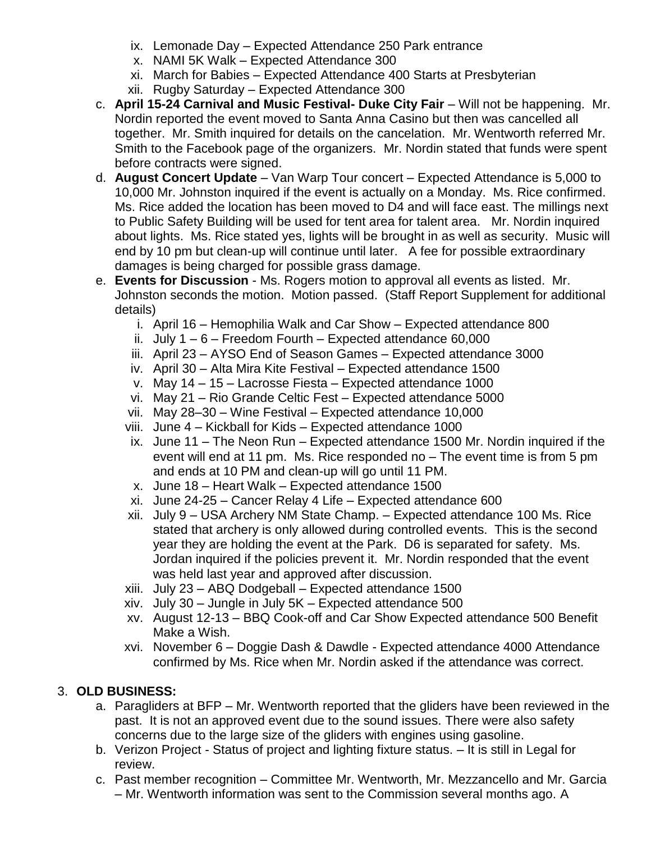- ix. Lemonade Day Expected Attendance 250 Park entrance
- x. NAMI 5K Walk Expected Attendance 300
- xi. March for Babies Expected Attendance 400 Starts at Presbyterian
- xii. Rugby Saturday Expected Attendance 300
- c. **April 15-24 Carnival and Music Festival- Duke City Fair** Will not be happening. Mr. Nordin reported the event moved to Santa Anna Casino but then was cancelled all together. Mr. Smith inquired for details on the cancelation. Mr. Wentworth referred Mr. Smith to the Facebook page of the organizers. Mr. Nordin stated that funds were spent before contracts were signed.
- d. **August Concert Update** Van Warp Tour concert Expected Attendance is 5,000 to 10,000 Mr. Johnston inquired if the event is actually on a Monday. Ms. Rice confirmed. Ms. Rice added the location has been moved to D4 and will face east. The millings next to Public Safety Building will be used for tent area for talent area. Mr. Nordin inquired about lights. Ms. Rice stated yes, lights will be brought in as well as security. Music will end by 10 pm but clean-up will continue until later. A fee for possible extraordinary damages is being charged for possible grass damage.
- e. **Events for Discussion** Ms. Rogers motion to approval all events as listed. Mr. Johnston seconds the motion. Motion passed. (Staff Report Supplement for additional details)
	- i. April 16 Hemophilia Walk and Car Show Expected attendance 800
	- ii. July  $1 6$  Freedom Fourth Expected attendance 60,000
	- iii. April 23 AYSO End of Season Games Expected attendance 3000
	- iv. April 30 Alta Mira Kite Festival Expected attendance 1500
	- v. May 14 15 Lacrosse Fiesta Expected attendance 1000
	- vi. May 21 Rio Grande Celtic Fest Expected attendance 5000
	- vii. May 28–30 Wine Festival Expected attendance 10,000
	- viii. June 4 Kickball for Kids Expected attendance 1000
	- ix. June 11 The Neon Run Expected attendance 1500 Mr. Nordin inquired if the event will end at 11 pm. Ms. Rice responded no – The event time is from 5 pm and ends at 10 PM and clean-up will go until 11 PM.
	- x. June 18 Heart Walk Expected attendance 1500
	- xi. June 24-25 Cancer Relay 4 Life Expected attendance 600
	- xii. July 9 USA Archery NM State Champ. Expected attendance 100 Ms. Rice stated that archery is only allowed during controlled events. This is the second year they are holding the event at the Park. D6 is separated for safety. Ms. Jordan inquired if the policies prevent it. Mr. Nordin responded that the event was held last year and approved after discussion.
	- xiii. July 23 ABQ Dodgeball Expected attendance 1500
	- xiv. July 30 Jungle in July 5K Expected attendance 500
	- xv. August 12-13 BBQ Cook-off and Car Show Expected attendance 500 Benefit Make a Wish.
	- xvi. November 6 Doggie Dash & Dawdle Expected attendance 4000 Attendance confirmed by Ms. Rice when Mr. Nordin asked if the attendance was correct.

### 3. **OLD BUSINESS:**

- a. Paragliders at BFP Mr. Wentworth reported that the gliders have been reviewed in the past. It is not an approved event due to the sound issues. There were also safety concerns due to the large size of the gliders with engines using gasoline.
- b. Verizon Project Status of project and lighting fixture status. It is still in Legal for review.
- c. Past member recognition Committee Mr. Wentworth, Mr. Mezzancello and Mr. Garcia – Mr. Wentworth information was sent to the Commission several months ago. A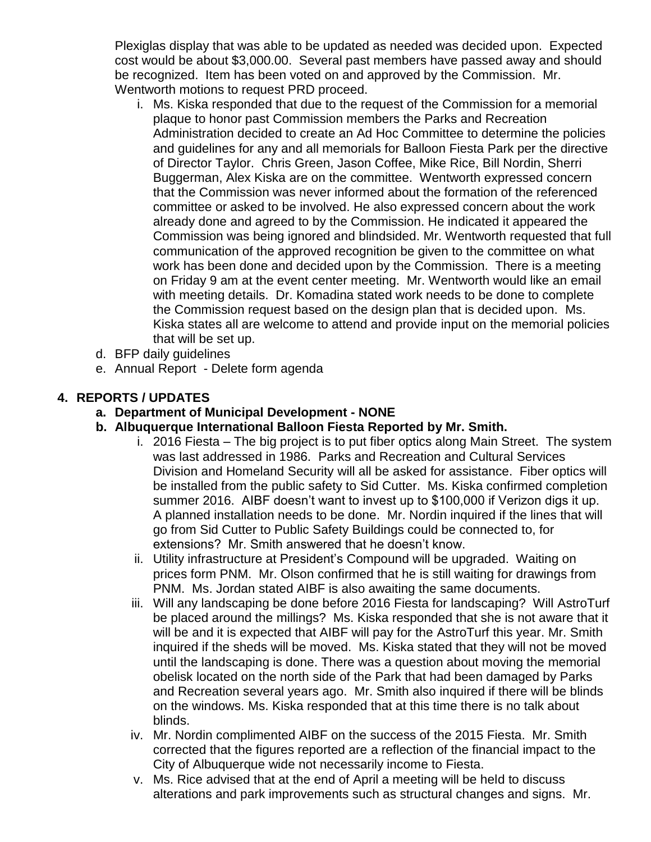Plexiglas display that was able to be updated as needed was decided upon. Expected cost would be about \$3,000.00. Several past members have passed away and should be recognized. Item has been voted on and approved by the Commission. Mr. Wentworth motions to request PRD proceed.

- i. Ms. Kiska responded that due to the request of the Commission for a memorial plaque to honor past Commission members the Parks and Recreation Administration decided to create an Ad Hoc Committee to determine the policies and guidelines for any and all memorials for Balloon Fiesta Park per the directive of Director Taylor. Chris Green, Jason Coffee, Mike Rice, Bill Nordin, Sherri Buggerman, Alex Kiska are on the committee. Wentworth expressed concern that the Commission was never informed about the formation of the referenced committee or asked to be involved. He also expressed concern about the work already done and agreed to by the Commission. He indicated it appeared the Commission was being ignored and blindsided. Mr. Wentworth requested that full communication of the approved recognition be given to the committee on what work has been done and decided upon by the Commission. There is a meeting on Friday 9 am at the event center meeting. Mr. Wentworth would like an email with meeting details. Dr. Komadina stated work needs to be done to complete the Commission request based on the design plan that is decided upon. Ms. Kiska states all are welcome to attend and provide input on the memorial policies that will be set up.
- d. BFP daily guidelines
- e. Annual Report Delete form agenda

# **4. REPORTS / UPDATES**

- **a. Department of Municipal Development - NONE**
- **b. Albuquerque International Balloon Fiesta Reported by Mr. Smith.** 
	- i. 2016 Fiesta The big project is to put fiber optics along Main Street. The system was last addressed in 1986. Parks and Recreation and Cultural Services Division and Homeland Security will all be asked for assistance. Fiber optics will be installed from the public safety to Sid Cutter. Ms. Kiska confirmed completion summer 2016. AIBF doesn't want to invest up to \$100,000 if Verizon digs it up. A planned installation needs to be done. Mr. Nordin inquired if the lines that will go from Sid Cutter to Public Safety Buildings could be connected to, for extensions? Mr. Smith answered that he doesn't know.
	- ii. Utility infrastructure at President's Compound will be upgraded. Waiting on prices form PNM. Mr. Olson confirmed that he is still waiting for drawings from PNM. Ms. Jordan stated AIBF is also awaiting the same documents.
	- iii. Will any landscaping be done before 2016 Fiesta for landscaping? Will AstroTurf be placed around the millings? Ms. Kiska responded that she is not aware that it will be and it is expected that AIBF will pay for the AstroTurf this year. Mr. Smith inquired if the sheds will be moved. Ms. Kiska stated that they will not be moved until the landscaping is done. There was a question about moving the memorial obelisk located on the north side of the Park that had been damaged by Parks and Recreation several years ago. Mr. Smith also inquired if there will be blinds on the windows. Ms. Kiska responded that at this time there is no talk about blinds.
	- iv. Mr. Nordin complimented AIBF on the success of the 2015 Fiesta. Mr. Smith corrected that the figures reported are a reflection of the financial impact to the City of Albuquerque wide not necessarily income to Fiesta.
	- v. Ms. Rice advised that at the end of April a meeting will be held to discuss alterations and park improvements such as structural changes and signs. Mr.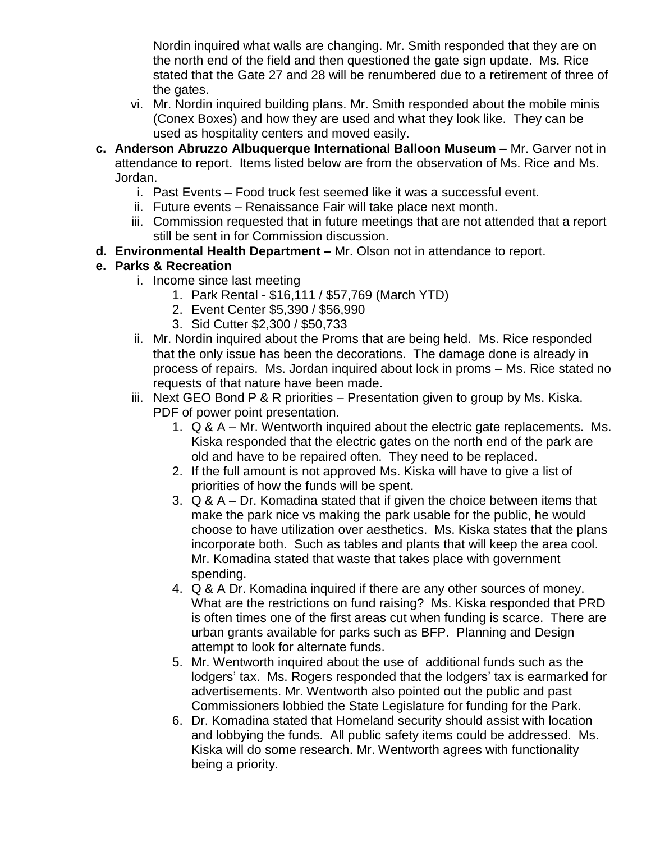Nordin inquired what walls are changing. Mr. Smith responded that they are on the north end of the field and then questioned the gate sign update. Ms. Rice stated that the Gate 27 and 28 will be renumbered due to a retirement of three of the gates.

- vi. Mr. Nordin inquired building plans. Mr. Smith responded about the mobile minis (Conex Boxes) and how they are used and what they look like. They can be used as hospitality centers and moved easily.
- **c. Anderson Abruzzo Albuquerque International Balloon Museum –** Mr. Garver not in attendance to report. Items listed below are from the observation of Ms. Rice and Ms. Jordan.
	- i. Past Events Food truck fest seemed like it was a successful event.
	- ii. Future events Renaissance Fair will take place next month.
	- iii. Commission requested that in future meetings that are not attended that a report still be sent in for Commission discussion.
- **d. Environmental Health Department –** Mr. Olson not in attendance to report.

## **e. Parks & Recreation**

- i. Income since last meeting
	- 1. Park Rental \$16,111 / \$57,769 (March YTD)
	- 2. Event Center \$5,390 / \$56,990
	- 3. Sid Cutter \$2,300 / \$50,733
- ii. Mr. Nordin inquired about the Proms that are being held. Ms. Rice responded that the only issue has been the decorations. The damage done is already in process of repairs. Ms. Jordan inquired about lock in proms – Ms. Rice stated no requests of that nature have been made.
- iii. Next GEO Bond P & R priorities Presentation given to group by Ms. Kiska. PDF of power point presentation.
	- 1. Q & A Mr. Wentworth inquired about the electric gate replacements. Ms. Kiska responded that the electric gates on the north end of the park are old and have to be repaired often. They need to be replaced.
	- 2. If the full amount is not approved Ms. Kiska will have to give a list of priorities of how the funds will be spent.
	- 3. Q & A Dr. Komadina stated that if given the choice between items that make the park nice vs making the park usable for the public, he would choose to have utilization over aesthetics. Ms. Kiska states that the plans incorporate both. Such as tables and plants that will keep the area cool. Mr. Komadina stated that waste that takes place with government spending.
	- 4. Q & A Dr. Komadina inquired if there are any other sources of money. What are the restrictions on fund raising? Ms. Kiska responded that PRD is often times one of the first areas cut when funding is scarce. There are urban grants available for parks such as BFP. Planning and Design attempt to look for alternate funds.
	- 5. Mr. Wentworth inquired about the use of additional funds such as the lodgers' tax. Ms. Rogers responded that the lodgers' tax is earmarked for advertisements. Mr. Wentworth also pointed out the public and past Commissioners lobbied the State Legislature for funding for the Park.
	- 6. Dr. Komadina stated that Homeland security should assist with location and lobbying the funds. All public safety items could be addressed. Ms. Kiska will do some research. Mr. Wentworth agrees with functionality being a priority.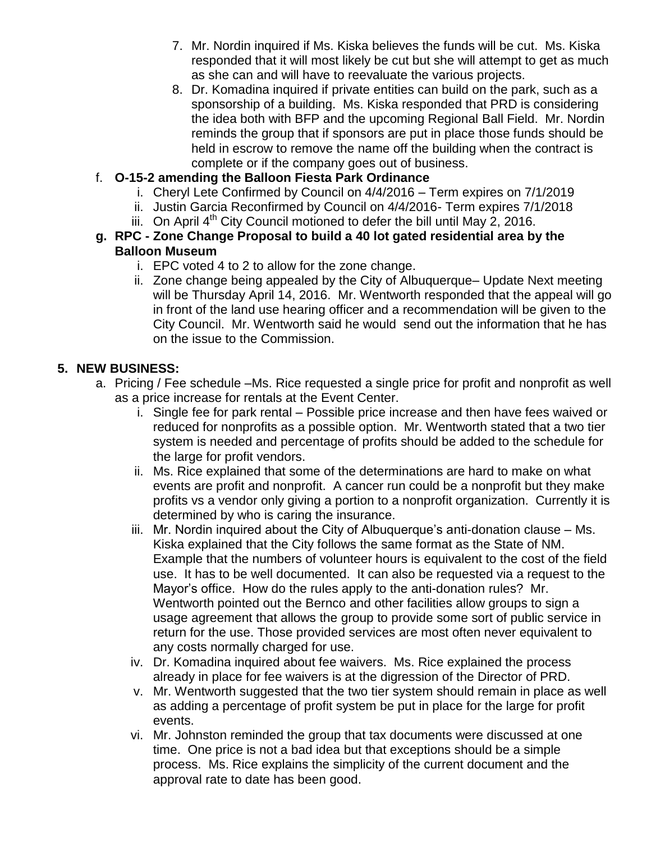- 7. Mr. Nordin inquired if Ms. Kiska believes the funds will be cut. Ms. Kiska responded that it will most likely be cut but she will attempt to get as much as she can and will have to reevaluate the various projects.
- 8. Dr. Komadina inquired if private entities can build on the park, such as a sponsorship of a building. Ms. Kiska responded that PRD is considering the idea both with BFP and the upcoming Regional Ball Field. Mr. Nordin reminds the group that if sponsors are put in place those funds should be held in escrow to remove the name off the building when the contract is complete or if the company goes out of business.

## f. **O-15-2 amending the Balloon Fiesta Park Ordinance**

- i. Cheryl Lete Confirmed by Council on 4/4/2016 Term expires on 7/1/2019
- ii. Justin Garcia Reconfirmed by Council on 4/4/2016- Term expires 7/1/2018
- iii. On April  $4<sup>th</sup>$  City Council motioned to defer the bill until May 2, 2016.

### **g. RPC - Zone Change Proposal to build a 40 lot gated residential area by the Balloon Museum**

- i. EPC voted 4 to 2 to allow for the zone change.
- ii. Zone change being appealed by the City of Albuquerque– Update Next meeting will be Thursday April 14, 2016. Mr. Wentworth responded that the appeal will go in front of the land use hearing officer and a recommendation will be given to the City Council. Mr. Wentworth said he would send out the information that he has on the issue to the Commission.

### **5. NEW BUSINESS:**

- a. Pricing / Fee schedule –Ms. Rice requested a single price for profit and nonprofit as well as a price increase for rentals at the Event Center.
	- i. Single fee for park rental Possible price increase and then have fees waived or reduced for nonprofits as a possible option. Mr. Wentworth stated that a two tier system is needed and percentage of profits should be added to the schedule for the large for profit vendors.
	- ii. Ms. Rice explained that some of the determinations are hard to make on what events are profit and nonprofit. A cancer run could be a nonprofit but they make profits vs a vendor only giving a portion to a nonprofit organization. Currently it is determined by who is caring the insurance.
	- iii. Mr. Nordin inquired about the City of Albuquerque's anti-donation clause Ms. Kiska explained that the City follows the same format as the State of NM. Example that the numbers of volunteer hours is equivalent to the cost of the field use. It has to be well documented. It can also be requested via a request to the Mayor's office. How do the rules apply to the anti-donation rules? Mr. Wentworth pointed out the Bernco and other facilities allow groups to sign a usage agreement that allows the group to provide some sort of public service in return for the use. Those provided services are most often never equivalent to any costs normally charged for use.
	- iv. Dr. Komadina inquired about fee waivers. Ms. Rice explained the process already in place for fee waivers is at the digression of the Director of PRD.
	- v. Mr. Wentworth suggested that the two tier system should remain in place as well as adding a percentage of profit system be put in place for the large for profit events.
	- vi. Mr. Johnston reminded the group that tax documents were discussed at one time. One price is not a bad idea but that exceptions should be a simple process. Ms. Rice explains the simplicity of the current document and the approval rate to date has been good.